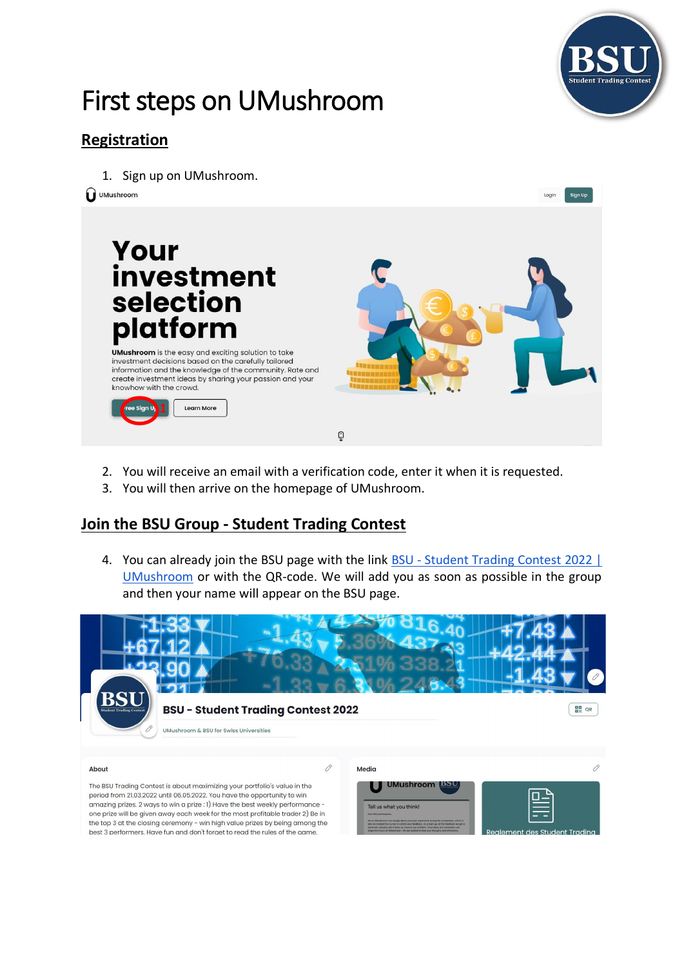

Sign Up

# First steps on UMushroom

## **Registration**

1. Sign up on UMushroom.

O UMushroom



- 2. You will receive an email with a verification code, enter it when it is requested.
- 3. You will then arrive on the homepage of UMushroom.

#### **Join the BSU Group - Student Trading Contest**

4. You can already join the BSU page with the link BSU - [Student Trading Contest](https://umushroom.com/group/bsu-student-trading-contest-2022) 2022 | [UMushroom](https://umushroom.com/group/bsu-student-trading-contest-2022) or with the QR-code. We will add you as soon as possible in the group and then your name will appear on the BSU page.



The BSU Trading Contest is about maximizing your portfolio's value in the period from 21.03.2022 until 06.05.2022. You have the opportunity to win amazing prizes. 2 ways to win a prize : 1) Have the best weekly performance one prize will be given away each week for the most profitable trader 2) Be in the top 3 at the closing ceremony - win high value prizes by being among the best 3 performers. Have fun and don't forget to read the rules of the game.

| Media                                                                                                                                                                                                                                                                 |                               |
|-----------------------------------------------------------------------------------------------------------------------------------------------------------------------------------------------------------------------------------------------------------------------|-------------------------------|
| <b>UMushroom</b> BSU<br>Tell us what you think!<br>Dear BSU participants.<br>We at UMushroom care deeply about your aser expenence during the competition, which is<br>why we created this survey to collect your feedback. As a start-up, all the feedback we get is |                               |
| extremely valuable and it helps as ynprove our platform. Your ideas and comments can<br>shape the future of UMusivesen. We are excited to hear your the uphts and reflections.                                                                                        | Realement des Student Tradina |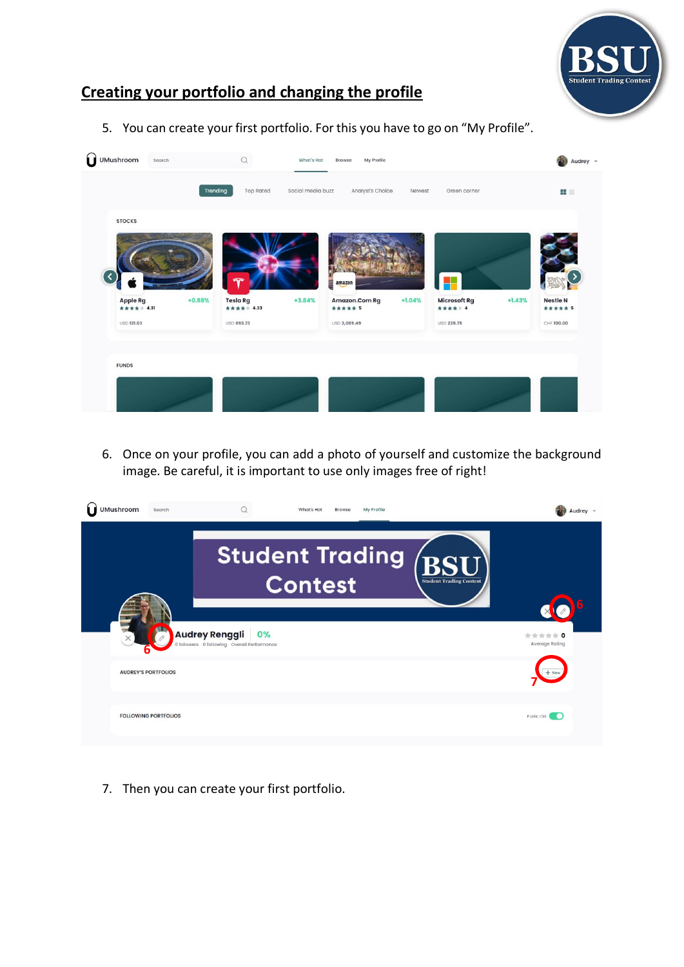

### **Creating your portfolio and changing the profile**

5. You can create your first portfolio. For this you have to go on "My Profile".



6. Once on your profile, you can add a photo of yourself and customize the background image. Be careful, it is important to use only images free of right!

| <b>UMushroom</b> | Search                      |                                                                            | What's Hot<br>Browse                         | My Profile |                                | Audrey                    |
|------------------|-----------------------------|----------------------------------------------------------------------------|----------------------------------------------|------------|--------------------------------|---------------------------|
|                  |                             |                                                                            | <b>Student Trading RSU</b><br><b>Contest</b> |            | <b>Student Trading Contest</b> |                           |
|                  |                             | <b>Audrey Renggli</b><br>0%<br>0 followers 0 following Overall Performance |                                              |            |                                | ***** 0<br>Average Rating |
|                  | <b>AUDREY'S PORTFOLIOS</b>  |                                                                            |                                              |            |                                |                           |
|                  | <b>FOLLOWING PORTFOLIOS</b> |                                                                            |                                              |            |                                | Public: ON<br>- 60        |

7. Then you can create your first portfolio.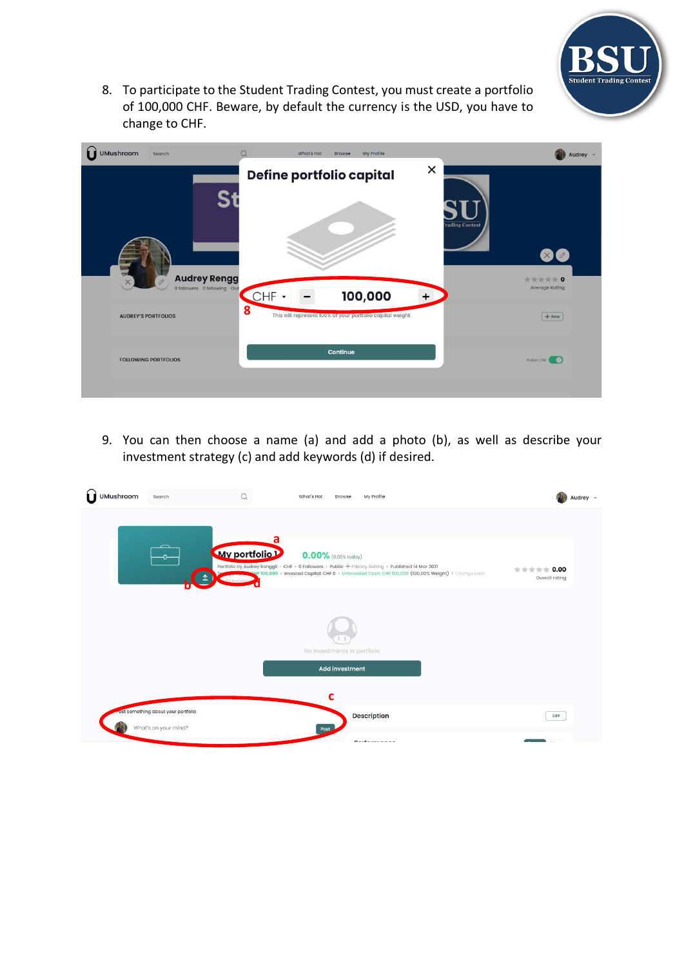

8. To participate to the Student Trading Contest, you must create a portfolio of 100,000 CHF. Beware, by default the currency is the USD, you have to change to CHF.

| <b>UMushroom</b><br>Search                                | Q<br>What's Hot<br>My Profile<br><b>Browse</b>                                            | Audrey -                                         |
|-----------------------------------------------------------|-------------------------------------------------------------------------------------------|--------------------------------------------------|
| <b>Audrey Rengg</b>                                       | ×<br>Define portfolio capital                                                             | <b>rading Contest</b><br>$\mathbf{X}$<br>食食食食食 0 |
| 0 followers 0 following Ove<br><b>AUDREY'S PORTFOLIOS</b> | 100,000<br>CHF -<br>$+$<br>8<br>This will represent 100% of your portfolio capital weight | <b>Average Rating</b><br>$+$ New                 |
| <b>FOLLOWING PORTFOLIOS</b>                               | Continue                                                                                  | Public: ON                                       |

9. You can then choose a name (a) and add a photo (b), as well as describe your investment strategy (c) and add keywords (d) if desired.

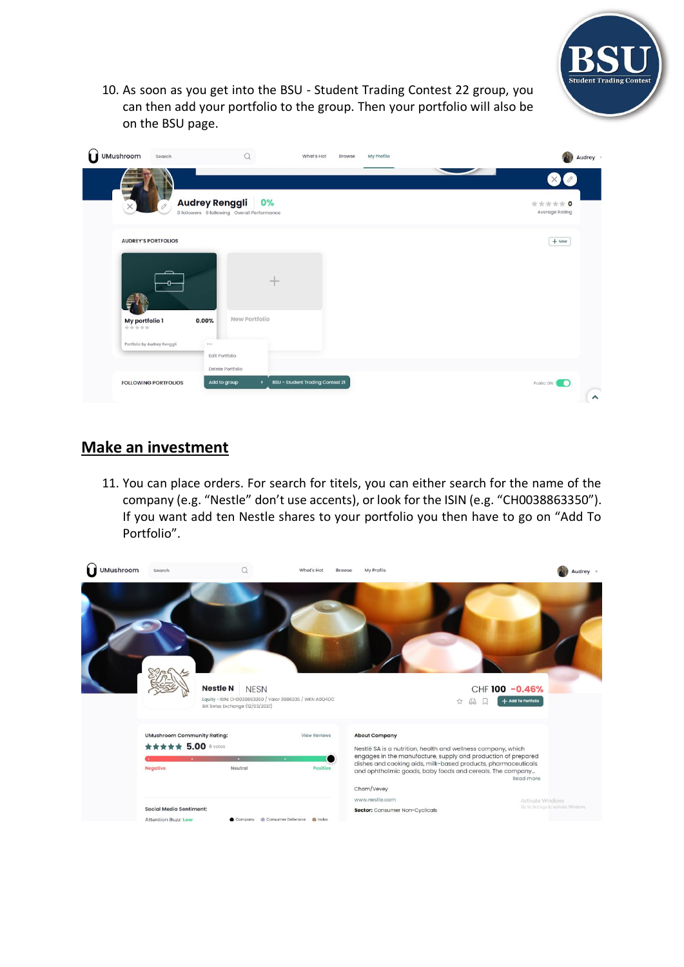

10. As soon as you get into the BSU - Student Trading Contest 22 group, you can then add your portfolio to the group. Then your portfolio will also be on the BSU page.

| UMushroom               | Search                      |                                                                            | What's Hot                              | My Profile<br>Browse | Audrey v                                                          |
|-------------------------|-----------------------------|----------------------------------------------------------------------------|-----------------------------------------|----------------------|-------------------------------------------------------------------|
| $\times$                | 0                           | <b>Audrey Renggli</b><br>0%<br>0 followers 0 following Overall Performance |                                         |                      | $\bullet$<br>$\left( \times \right)$<br>***** 0<br>Average Rating |
|                         | <b>AUDREY'S PORTFOLIOS</b>  |                                                                            |                                         |                      | $+$ New                                                           |
|                         |                             |                                                                            | mpo.                                    |                      |                                                                   |
| My portfolio 1<br>***** |                             | New Portfolio<br>0.00%                                                     |                                         |                      |                                                                   |
|                         | Portfolio by Audrey Renggli | <br>Edit Portfolio                                                         |                                         |                      |                                                                   |
|                         | <b>FOLLOWING PORTFOLIOS</b> | Delete Portfolio<br>Add to group<br>$\rightarrow$                          | <b>BSU - Student Trading Contest 21</b> |                      | Public: ON<br>$\hat{\phantom{a}}$                                 |

#### **Make an investment**

11. You can place orders. For search for titels, you can either search for the name of the company (e.g. "Nestle" don't use accents), or look for the ISIN (e.g. "CH0038863350"). If you want add ten Nestle shares to your portfolio you then have to go on "Add To Portfolio".